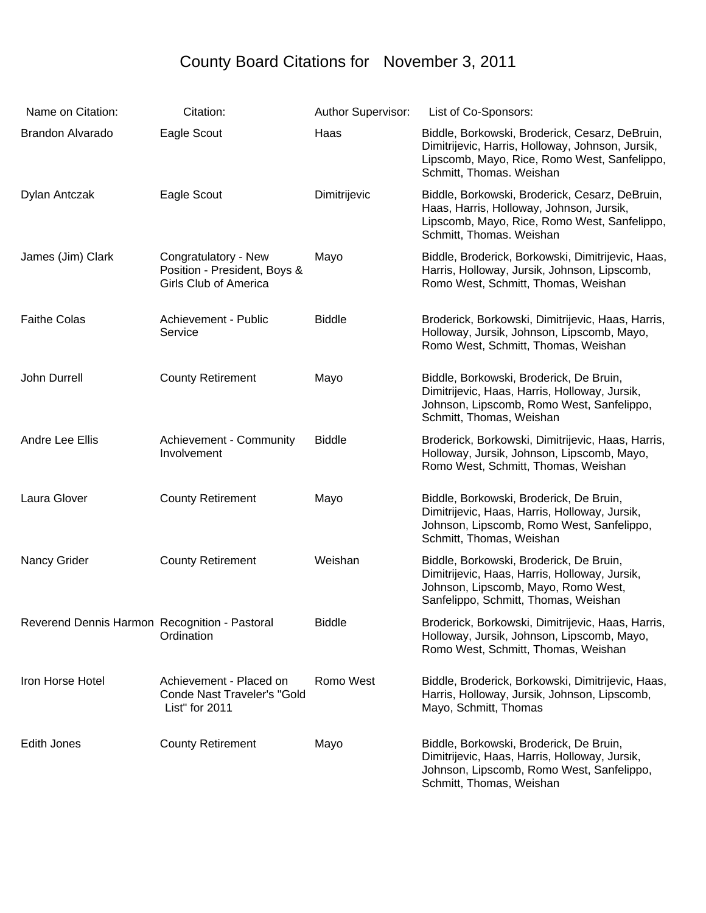## County Board Citations for November 3, 2011

| Name on Citation:                             | Citation:                                                                            | Author Supervisor: | List of Co-Sponsors:                                                                                                                                                           |
|-----------------------------------------------|--------------------------------------------------------------------------------------|--------------------|--------------------------------------------------------------------------------------------------------------------------------------------------------------------------------|
| <b>Brandon Alvarado</b>                       | Eagle Scout                                                                          | Haas               | Biddle, Borkowski, Broderick, Cesarz, DeBruin,<br>Dimitrijevic, Harris, Holloway, Johnson, Jursik,<br>Lipscomb, Mayo, Rice, Romo West, Sanfelippo,<br>Schmitt, Thomas. Weishan |
| Dylan Antczak                                 | Eagle Scout                                                                          | Dimitrijevic       | Biddle, Borkowski, Broderick, Cesarz, DeBruin,<br>Haas, Harris, Holloway, Johnson, Jursik,<br>Lipscomb, Mayo, Rice, Romo West, Sanfelippo,<br>Schmitt, Thomas. Weishan         |
| James (Jim) Clark                             | Congratulatory - New<br>Position - President, Boys &<br><b>Girls Club of America</b> | Mayo               | Biddle, Broderick, Borkowski, Dimitrijevic, Haas,<br>Harris, Holloway, Jursik, Johnson, Lipscomb,<br>Romo West, Schmitt, Thomas, Weishan                                       |
| <b>Faithe Colas</b>                           | Achievement - Public<br>Service                                                      | <b>Biddle</b>      | Broderick, Borkowski, Dimitrijevic, Haas, Harris,<br>Holloway, Jursik, Johnson, Lipscomb, Mayo,<br>Romo West, Schmitt, Thomas, Weishan                                         |
| John Durrell                                  | <b>County Retirement</b>                                                             | Mayo               | Biddle, Borkowski, Broderick, De Bruin,<br>Dimitrijevic, Haas, Harris, Holloway, Jursik,<br>Johnson, Lipscomb, Romo West, Sanfelippo,<br>Schmitt, Thomas, Weishan              |
| Andre Lee Ellis                               | Achievement - Community<br>Involvement                                               | <b>Biddle</b>      | Broderick, Borkowski, Dimitrijevic, Haas, Harris,<br>Holloway, Jursik, Johnson, Lipscomb, Mayo,<br>Romo West, Schmitt, Thomas, Weishan                                         |
| Laura Glover                                  | <b>County Retirement</b>                                                             | Mayo               | Biddle, Borkowski, Broderick, De Bruin,<br>Dimitrijevic, Haas, Harris, Holloway, Jursik,<br>Johnson, Lipscomb, Romo West, Sanfelippo,<br>Schmitt, Thomas, Weishan              |
| Nancy Grider                                  | <b>County Retirement</b>                                                             | Weishan            | Biddle, Borkowski, Broderick, De Bruin,<br>Dimitrijevic, Haas, Harris, Holloway, Jursik,<br>Johnson, Lipscomb, Mayo, Romo West,<br>Sanfelippo, Schmitt, Thomas, Weishan        |
| Reverend Dennis Harmon Recognition - Pastoral | Ordination                                                                           | Biddle             | Broderick, Borkowski, Dimitrijevic, Haas, Harris,<br>Holloway, Jursik, Johnson, Lipscomb, Mayo,<br>Romo West, Schmitt, Thomas, Weishan                                         |
| Iron Horse Hotel                              | Achievement - Placed on<br><b>Conde Nast Traveler's "Gold</b><br>List" for 2011      | Romo West          | Biddle, Broderick, Borkowski, Dimitrijevic, Haas,<br>Harris, Holloway, Jursik, Johnson, Lipscomb,<br>Mayo, Schmitt, Thomas                                                     |
| Edith Jones                                   | <b>County Retirement</b>                                                             | Mayo               | Biddle, Borkowski, Broderick, De Bruin,<br>Dimitrijevic, Haas, Harris, Holloway, Jursik,<br>Johnson, Lipscomb, Romo West, Sanfelippo,<br>Schmitt, Thomas, Weishan              |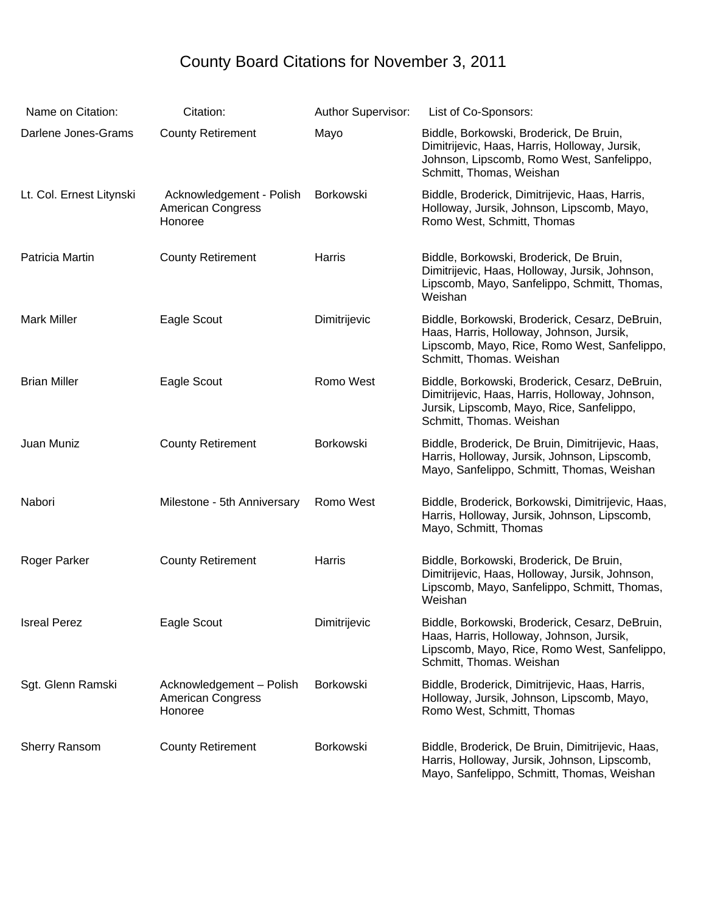## County Board Citations for November 3, 2011

| Name on Citation:        | Citation:                                                       | Author Supervisor: | List of Co-Sponsors:                                                                                                                                                      |
|--------------------------|-----------------------------------------------------------------|--------------------|---------------------------------------------------------------------------------------------------------------------------------------------------------------------------|
| Darlene Jones-Grams      | <b>County Retirement</b>                                        | Mayo               | Biddle, Borkowski, Broderick, De Bruin,<br>Dimitrijevic, Haas, Harris, Holloway, Jursik,<br>Johnson, Lipscomb, Romo West, Sanfelippo,<br>Schmitt, Thomas, Weishan         |
| Lt. Col. Ernest Litynski | Acknowledgement - Polish<br><b>American Congress</b><br>Honoree | Borkowski          | Biddle, Broderick, Dimitrijevic, Haas, Harris,<br>Holloway, Jursik, Johnson, Lipscomb, Mayo,<br>Romo West, Schmitt, Thomas                                                |
| Patricia Martin          | <b>County Retirement</b>                                        | Harris             | Biddle, Borkowski, Broderick, De Bruin,<br>Dimitrijevic, Haas, Holloway, Jursik, Johnson,<br>Lipscomb, Mayo, Sanfelippo, Schmitt, Thomas,<br>Weishan                      |
| <b>Mark Miller</b>       | Eagle Scout                                                     | Dimitrijevic       | Biddle, Borkowski, Broderick, Cesarz, DeBruin,<br>Haas, Harris, Holloway, Johnson, Jursik,<br>Lipscomb, Mayo, Rice, Romo West, Sanfelippo,<br>Schmitt, Thomas. Weishan    |
| <b>Brian Miller</b>      | Eagle Scout                                                     | Romo West          | Biddle, Borkowski, Broderick, Cesarz, DeBruin,<br>Dimitrijevic, Haas, Harris, Holloway, Johnson,<br>Jursik, Lipscomb, Mayo, Rice, Sanfelippo,<br>Schmitt, Thomas. Weishan |
| Juan Muniz               | <b>County Retirement</b>                                        | Borkowski          | Biddle, Broderick, De Bruin, Dimitrijevic, Haas,<br>Harris, Holloway, Jursik, Johnson, Lipscomb,<br>Mayo, Sanfelippo, Schmitt, Thomas, Weishan                            |
| Nabori                   | Milestone - 5th Anniversary                                     | Romo West          | Biddle, Broderick, Borkowski, Dimitrijevic, Haas,<br>Harris, Holloway, Jursik, Johnson, Lipscomb,<br>Mayo, Schmitt, Thomas                                                |
| Roger Parker             | <b>County Retirement</b>                                        | Harris             | Biddle, Borkowski, Broderick, De Bruin,<br>Dimitrijevic, Haas, Holloway, Jursik, Johnson,<br>Lipscomb, Mayo, Sanfelippo, Schmitt, Thomas,<br>Weishan                      |
| <b>Isreal Perez</b>      | Eagle Scout                                                     | Dimitrijevic       | Biddle, Borkowski, Broderick, Cesarz, DeBruin,<br>Haas, Harris, Holloway, Johnson, Jursik,<br>Lipscomb, Mayo, Rice, Romo West, Sanfelippo,<br>Schmitt, Thomas. Weishan    |
| Sgt. Glenn Ramski        | Acknowledgement - Polish<br><b>American Congress</b><br>Honoree | Borkowski          | Biddle, Broderick, Dimitrijevic, Haas, Harris,<br>Holloway, Jursik, Johnson, Lipscomb, Mayo,<br>Romo West, Schmitt, Thomas                                                |
| <b>Sherry Ransom</b>     | <b>County Retirement</b>                                        | Borkowski          | Biddle, Broderick, De Bruin, Dimitrijevic, Haas,<br>Harris, Holloway, Jursik, Johnson, Lipscomb,<br>Mayo, Sanfelippo, Schmitt, Thomas, Weishan                            |